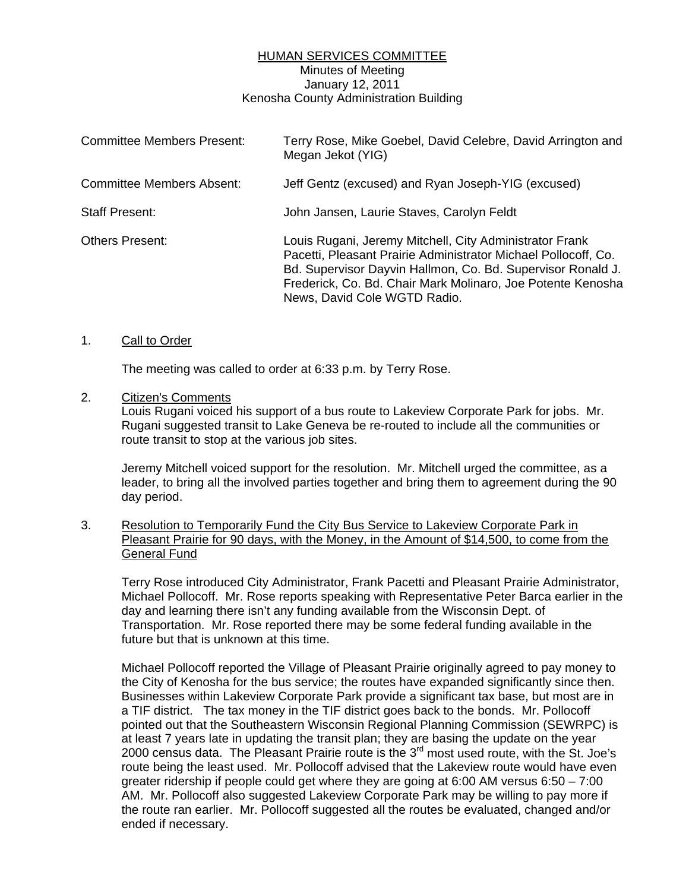## HUMAN SERVICES COMMITTEE Minutes of Meeting January 12, 2011 Kenosha County Administration Building

| <b>Committee Members Present:</b> | Terry Rose, Mike Goebel, David Celebre, David Arrington and<br>Megan Jekot (YIG)                                                                                                                                                                                                        |
|-----------------------------------|-----------------------------------------------------------------------------------------------------------------------------------------------------------------------------------------------------------------------------------------------------------------------------------------|
| <b>Committee Members Absent:</b>  | Jeff Gentz (excused) and Ryan Joseph-YIG (excused)                                                                                                                                                                                                                                      |
| <b>Staff Present:</b>             | John Jansen, Laurie Staves, Carolyn Feldt                                                                                                                                                                                                                                               |
| <b>Others Present:</b>            | Louis Rugani, Jeremy Mitchell, City Administrator Frank<br>Pacetti, Pleasant Prairie Administrator Michael Pollocoff, Co.<br>Bd. Supervisor Dayvin Hallmon, Co. Bd. Supervisor Ronald J.<br>Frederick, Co. Bd. Chair Mark Molinaro, Joe Potente Kenosha<br>News, David Cole WGTD Radio. |

## 1. Call to Order

The meeting was called to order at 6:33 p.m. by Terry Rose.

## 2. Citizen's Comments

Louis Rugani voiced his support of a bus route to Lakeview Corporate Park for jobs. Mr. Rugani suggested transit to Lake Geneva be re-routed to include all the communities or route transit to stop at the various job sites.

Jeremy Mitchell voiced support for the resolution. Mr. Mitchell urged the committee, as a leader, to bring all the involved parties together and bring them to agreement during the 90 day period.

3. Resolution to Temporarily Fund the City Bus Service to Lakeview Corporate Park in Pleasant Prairie for 90 days, with the Money, in the Amount of \$14,500, to come from the General Fund

 Terry Rose introduced City Administrator, Frank Pacetti and Pleasant Prairie Administrator, Michael Pollocoff. Mr. Rose reports speaking with Representative Peter Barca earlier in the day and learning there isn't any funding available from the Wisconsin Dept. of Transportation. Mr. Rose reported there may be some federal funding available in the future but that is unknown at this time.

 Michael Pollocoff reported the Village of Pleasant Prairie originally agreed to pay money to the City of Kenosha for the bus service; the routes have expanded significantly since then. Businesses within Lakeview Corporate Park provide a significant tax base, but most are in a TIF district. The tax money in the TIF district goes back to the bonds. Mr. Pollocoff pointed out that the Southeastern Wisconsin Regional Planning Commission (SEWRPC) is at least 7 years late in updating the transit plan; they are basing the update on the year 2000 census data. The Pleasant Prairie route is the  $3<sup>rd</sup>$  most used route, with the St. Joe's route being the least used. Mr. Pollocoff advised that the Lakeview route would have even greater ridership if people could get where they are going at 6:00 AM versus 6:50 – 7:00 AM. Mr. Pollocoff also suggested Lakeview Corporate Park may be willing to pay more if the route ran earlier. Mr. Pollocoff suggested all the routes be evaluated, changed and/or ended if necessary.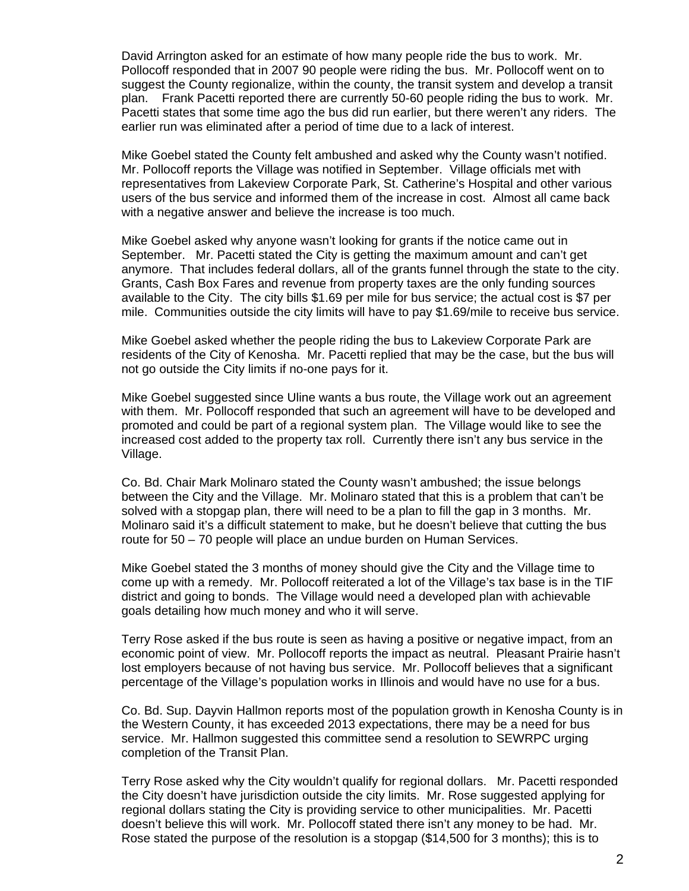David Arrington asked for an estimate of how many people ride the bus to work. Mr. Pollocoff responded that in 2007 90 people were riding the bus. Mr. Pollocoff went on to suggest the County regionalize, within the county, the transit system and develop a transit plan. Frank Pacetti reported there are currently 50-60 people riding the bus to work. Mr. Pacetti states that some time ago the bus did run earlier, but there weren't any riders. The earlier run was eliminated after a period of time due to a lack of interest.

 Mike Goebel stated the County felt ambushed and asked why the County wasn't notified. Mr. Pollocoff reports the Village was notified in September. Village officials met with representatives from Lakeview Corporate Park, St. Catherine's Hospital and other various users of the bus service and informed them of the increase in cost. Almost all came back with a negative answer and believe the increase is too much.

 Mike Goebel asked why anyone wasn't looking for grants if the notice came out in September. Mr. Pacetti stated the City is getting the maximum amount and can't get anymore. That includes federal dollars, all of the grants funnel through the state to the city. Grants, Cash Box Fares and revenue from property taxes are the only funding sources available to the City. The city bills \$1.69 per mile for bus service; the actual cost is \$7 per mile. Communities outside the city limits will have to pay \$1.69/mile to receive bus service.

 Mike Goebel asked whether the people riding the bus to Lakeview Corporate Park are residents of the City of Kenosha. Mr. Pacetti replied that may be the case, but the bus will not go outside the City limits if no-one pays for it.

 Mike Goebel suggested since Uline wants a bus route, the Village work out an agreement with them. Mr. Pollocoff responded that such an agreement will have to be developed and promoted and could be part of a regional system plan. The Village would like to see the increased cost added to the property tax roll. Currently there isn't any bus service in the Village.

 Co. Bd. Chair Mark Molinaro stated the County wasn't ambushed; the issue belongs between the City and the Village. Mr. Molinaro stated that this is a problem that can't be solved with a stopgap plan, there will need to be a plan to fill the gap in 3 months. Mr. Molinaro said it's a difficult statement to make, but he doesn't believe that cutting the bus route for 50 – 70 people will place an undue burden on Human Services.

 Mike Goebel stated the 3 months of money should give the City and the Village time to come up with a remedy. Mr. Pollocoff reiterated a lot of the Village's tax base is in the TIF district and going to bonds. The Village would need a developed plan with achievable goals detailing how much money and who it will serve.

 Terry Rose asked if the bus route is seen as having a positive or negative impact, from an economic point of view. Mr. Pollocoff reports the impact as neutral. Pleasant Prairie hasn't lost employers because of not having bus service. Mr. Pollocoff believes that a significant percentage of the Village's population works in Illinois and would have no use for a bus.

 Co. Bd. Sup. Dayvin Hallmon reports most of the population growth in Kenosha County is in the Western County, it has exceeded 2013 expectations, there may be a need for bus service. Mr. Hallmon suggested this committee send a resolution to SEWRPC urging completion of the Transit Plan.

 Terry Rose asked why the City wouldn't qualify for regional dollars. Mr. Pacetti responded the City doesn't have jurisdiction outside the city limits. Mr. Rose suggested applying for regional dollars stating the City is providing service to other municipalities. Mr. Pacetti doesn't believe this will work. Mr. Pollocoff stated there isn't any money to be had. Mr. Rose stated the purpose of the resolution is a stopgap (\$14,500 for 3 months); this is to